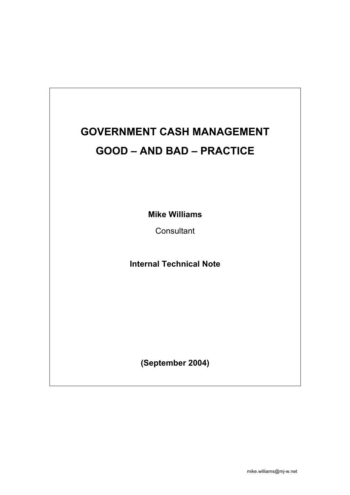# **GOVERNMENT CASH MANAGEMENT GOOD – AND BAD – PRACTICE**

**Mike Williams** 

**Consultant** 

**Internal Technical Note** 

**(September 2004)**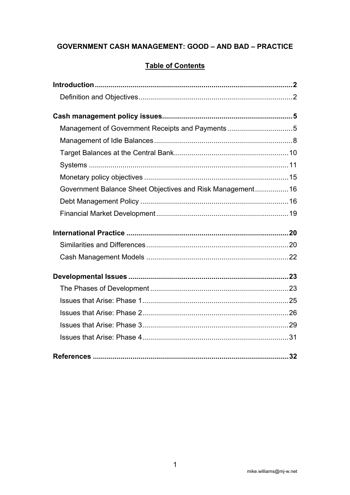# **GOVERNMENT CASH MANAGEMENT: GOOD - AND BAD - PRACTICE**

# **Table of Contents**

| Management of Government Receipts and Payments5            |  |
|------------------------------------------------------------|--|
|                                                            |  |
|                                                            |  |
|                                                            |  |
|                                                            |  |
| Government Balance Sheet Objectives and Risk Management 16 |  |
|                                                            |  |
|                                                            |  |
|                                                            |  |
|                                                            |  |
|                                                            |  |
|                                                            |  |
|                                                            |  |
|                                                            |  |
|                                                            |  |
|                                                            |  |
|                                                            |  |
|                                                            |  |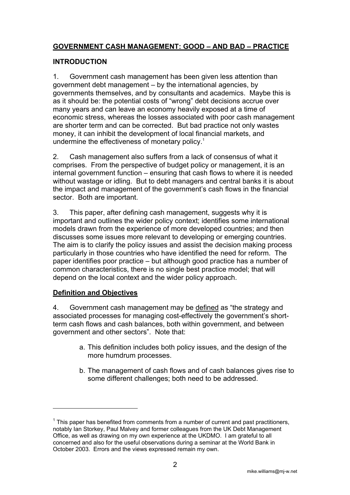# <span id="page-2-0"></span>**GOVERNMENT CASH MANAGEMENT: GOOD – AND BAD – PRACTICE**

## **INTRODUCTION**

1. Government cash management has been given less attention than government debt management – by the international agencies, by governments themselves, and by consultants and academics. Maybe this is as it should be: the potential costs of "wrong" debt decisions accrue over many years and can leave an economy heavily exposed at a time of economic stress, whereas the losses associated with poor cash management are shorter term and can be corrected. But bad practice not only wastes money, it can inhibit the development of local financial markets, and undermine the effectiveness of monetary policy.<sup>1</sup>

2. Cash management also suffers from a lack of consensus of what it comprises. From the perspective of budget policy or management, it is an internal government function – ensuring that cash flows to where it is needed without wastage or idling. But to debt managers and central banks it is about the impact and management of the government's cash flows in the financial sector. Both are important.

3. This paper, after defining cash management, suggests why it is important and outlines the wider policy context; identifies some international models drawn from the experience of more developed countries; and then discusses some issues more relevant to developing or emerging countries. The aim is to clarify the policy issues and assist the decision making process particularly in those countries who have identified the need for reform. The paper identifies poor practice – but although good practice has a number of common characteristics, there is no single best practice model; that will depend on the local context and the wider policy approach.

## **Definition and Objectives**

 $\overline{a}$ 

4. Government cash management may be defined as "the strategy and associated processes for managing cost-effectively the government's shortterm cash flows and cash balances, both within government, and between government and other sectors". Note that:

- a. This definition includes both policy issues, and the design of the more humdrum processes.
- b. The management of cash flows and of cash balances gives rise to some different challenges; both need to be addressed.

<span id="page-2-1"></span> $1$  This paper has benefited from comments from a number of current and past practitioners, notably Ian Storkey, Paul Malvey and former colleagues from the UK Debt Management Office, as well as drawing on my own experience at the UKDMO. I am grateful to all concerned and also for the useful observations during a seminar at the World Bank in October 2003. Errors and the views expressed remain my own.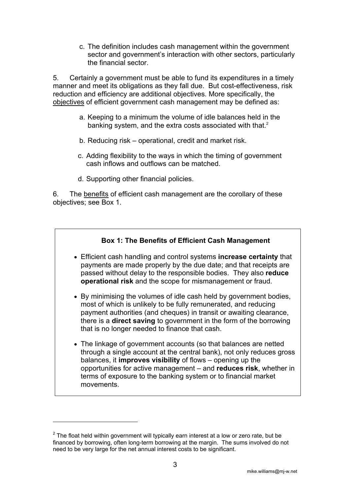c. The definition includes cash management within the government sector and government's interaction with other sectors, particularly the financial sector.

5. Certainly a government must be able to fund its expenditures in a timely manner and meet its obligations as they fall due. But cost-effectiveness, risk reduction and efficiency are additional objectives. More specifically, the objectives of efficient government cash management may be defined as:

- a. Keeping to a minimum the volume of idle balances held in the banking system, and the extra costs associated with that.<sup>[2](#page-3-0)</sup>
- b. Reducing risk operational, credit and market risk.
- c. Adding flexibility to the ways in which the timing of government cash inflows and outflows can be matched.
- d. Supporting other financial policies.

6. The benefits of efficient cash management are the corollary of these objectives; see Box 1.



 $\overline{a}$ 

<span id="page-3-0"></span> $2$  The float held within government will typically earn interest at a low or zero rate, but be financed by borrowing, often long-term borrowing at the margin. The sums involved do not need to be very large for the net annual interest costs to be significant.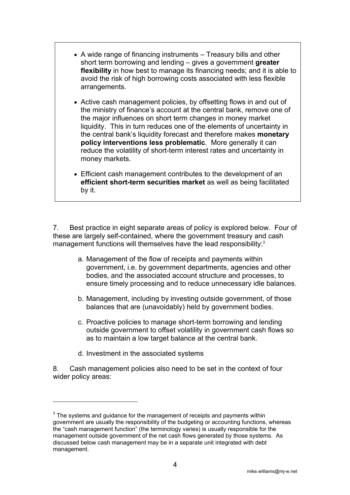- A wide range of financing instruments Treasury bills and other short term borrowing and lending – gives a government **greater flexibility** in how best to manage its financing needs; and it is able to avoid the risk of high borrowing costs associated with less flexible arrangements.
- Active cash management policies, by offsetting flows in and out of the ministry of finance's account at the central bank, remove one of the major influences on short term changes in money market liquidity. This in turn reduces one of the elements of uncertainty in the central bank's liquidity forecast and therefore makes **monetary policy interventions less problematic**. More generally it can reduce the volatility of short-term interest rates and uncertainty in money markets.
- Efficient cash management contributes to the development of an **efficient short-term securities market** as well as being facilitated by it.

7. Best practice in eight separate areas of policy is explored below. Four of these are largely self-contained, where the government treasury and cash management functions will themselves have the lead responsibility:<sup>[3](#page-4-0)</sup>

- a. Management of the flow of receipts and payments within government, i.e. by government departments, agencies and other bodies, and the associated account structure and processes, to ensure timely processing and to reduce unnecessary idle balances.
- b. Management, including by investing outside government, of those balances that are (unavoidably) held by government bodies.
- c. Proactive policies to manage short-term borrowing and lending outside government to offset volatility in government cash flows so as to maintain a low target balance at the central bank.
- d. Investment in the associated systems

 $\overline{a}$ 

8. Cash management policies also need to be set in the context of four wider policy areas:

<span id="page-4-0"></span> $3$  The systems and guidance for the management of receipts and payments within government are usually the responsibility of the budgeting or accounting functions, whereas the "cash management function" (the terminology varies) is usually responsible for the management outside government of the net cash flows generated by those systems. As discussed below cash management may be in a separate unit integrated with debt management.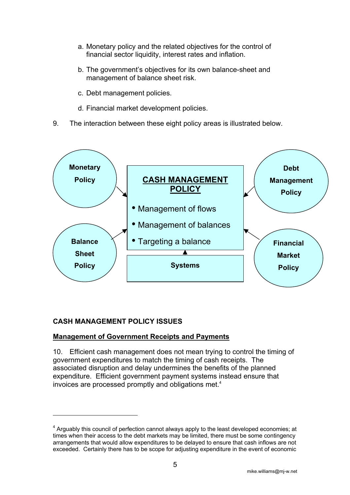- <span id="page-5-1"></span><span id="page-5-0"></span>a. Monetary policy and the related objectives for the control of financial sector liquidity, interest rates and inflation.
- b. The government's objectives for its own balance-sheet and management of balance sheet risk.
- c. Debt management policies.
- d. Financial market development policies.
- 9. The interaction between these eight policy areas is illustrated below.



## **CASH MANAGEMENT POLICY ISSUES**

 $\overline{a}$ 

## **Management of Government Receipts and Payments**

10. Efficient cash management does not mean trying to control the timing of government expenditures to match the timing of cash receipts. The associated disruption and delay undermines the benefits of the planned expenditure. Efficient government payment systems instead ensure that invoices are processed promptly and obligations met.<sup>[4](#page-5-1)</sup>

 $4$  Arguably this council of perfection cannot always apply to the least developed economies; at times when their access to the debt markets may be limited, there must be some contingency arrangements that would allow expenditures to be delayed to ensure that cash inflows are not exceeded. Certainly there has to be scope for adjusting expenditure in the event of economic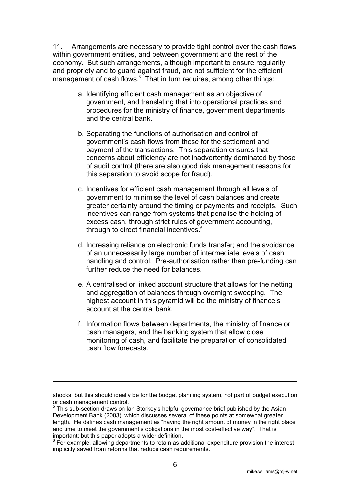11. Arrangements are necessary to provide tight control over the cash flows within government entities, and between government and the rest of the economy. But such arrangements, although important to ensure regularity and propriety and to guard against fraud, are not sufficient for the efficient management of cash flows.<sup>5</sup> That in turn requires, among other things:

- a. Identifying efficient cash management as an objective of government, and translating that into operational practices and procedures for the ministry of finance, government departments and the central bank.
- b. Separating the functions of authorisation and control of government's cash flows from those for the settlement and payment of the transactions. This separation ensures that concerns about efficiency are not inadvertently dominated by those of audit control (there are also good risk management reasons for this separation to avoid scope for fraud).
- c. Incentives for efficient cash management through all levels of government to minimise the level of cash balances and create greater certainty around the timing or payments and receipts. Such incentives can range from systems that penalise the holding of excess cash, through strict rules of government accounting, through to direct financial incentives.<sup>[6](#page-6-1)</sup>
- d. Increasing reliance on electronic funds transfer; and the avoidance of an unnecessarily large number of intermediate levels of cash handling and control. Pre-authorisation rather than pre-funding can further reduce the need for balances.
- e. A centralised or linked account structure that allows for the netting and aggregation of balances through overnight sweeping. The highest account in this pyramid will be the ministry of finance's account at the central bank.
- f. Information flows between departments, the ministry of finance or cash managers, and the banking system that allow close monitoring of cash, and facilitate the preparation of consolidated cash flow forecasts.

 $\overline{a}$ 

shocks; but this should ideally be for the budget planning system, not part of budget execution or cash management control.

<span id="page-6-0"></span> $5$  This sub-section draws on Ian Storkey's helpful governance brief published by the Asian Development Bank (2003), which discusses several of these points at somewhat greater length. He defines cash management as "having the right amount of money in the right place and time to meet the government's obligations in the most cost-effective way". That is important; but this paper adopts a wider definition.

<span id="page-6-1"></span> $6$  For example, allowing departments to retain as additional expenditure provision the interest implicitly saved from reforms that reduce cash requirements.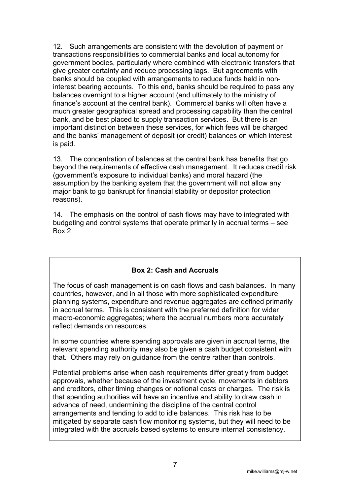12. Such arrangements are consistent with the devolution of payment or transactions responsibilities to commercial banks and local autonomy for government bodies, particularly where combined with electronic transfers that give greater certainty and reduce processing lags. But agreements with banks should be coupled with arrangements to reduce funds held in noninterest bearing accounts. To this end, banks should be required to pass any balances overnight to a higher account (and ultimately to the ministry of finance's account at the central bank). Commercial banks will often have a much greater geographical spread and processing capability than the central bank, and be best placed to supply transaction services. But there is an important distinction between these services, for which fees will be charged and the banks' management of deposit (or credit) balances on which interest is paid.

13. The concentration of balances at the central bank has benefits that go beyond the requirements of effective cash management. It reduces credit risk (government's exposure to individual banks) and moral hazard (the assumption by the banking system that the government will not allow any major bank to go bankrupt for financial stability or depositor protection reasons).

14. The emphasis on the control of cash flows may have to integrated with budgeting and control systems that operate primarily in accrual terms – see  $Box<sup>2</sup>$ 

## **Box 2: Cash and Accruals**

The focus of cash management is on cash flows and cash balances. In many countries, however, and in all those with more sophisticated expenditure planning systems, expenditure and revenue aggregates are defined primarily in accrual terms. This is consistent with the preferred definition for wider macro-economic aggregates; where the accrual numbers more accurately reflect demands on resources.

In some countries where spending approvals are given in accrual terms, the relevant spending authority may also be given a cash budget consistent with that. Others may rely on guidance from the centre rather than controls.

Potential problems arise when cash requirements differ greatly from budget approvals, whether because of the investment cycle, movements in debtors and creditors, other timing changes or notional costs or charges. The risk is that spending authorities will have an incentive and ability to draw cash in advance of need, undermining the discipline of the central control arrangements and tending to add to idle balances. This risk has to be mitigated by separate cash flow monitoring systems, but they will need to be integrated with the accruals based systems to ensure internal consistency.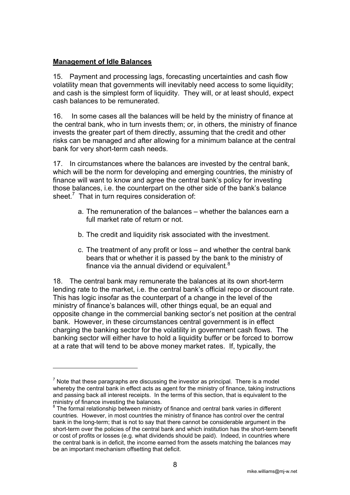## <span id="page-8-0"></span>**Management of Idle Balances**

 $\overline{a}$ 

15. Payment and processing lags, forecasting uncertainties and cash flow volatility mean that governments will inevitably need access to some liquidity; and cash is the simplest form of liquidity. They will, or at least should, expect cash balances to be remunerated.

16. In some cases all the balances will be held by the ministry of finance at the central bank, who in turn invests them; or, in others, the ministry of finance invests the greater part of them directly, assuming that the credit and other risks can be managed and after allowing for a minimum balance at the central bank for very short-term cash needs.

17. In circumstances where the balances are invested by the central bank, which will be the norm for developing and emerging countries, the ministry of finance will want to know and agree the central bank's policy for investing those balances, i.e. the counterpart on the other side of the bank's balance sheet.<sup>[7](#page-8-1)</sup> That in turn requires consideration of:

- a. The remuneration of the balances whether the balances earn a full market rate of return or not.
- b. The credit and liquidity risk associated with the investment.
- c. The treatment of any profit or loss and whether the central bank bears that or whether it is passed by the bank to the ministry of finance via the annual dividend or equivalent. $8$

18. The central bank may remunerate the balances at its own short-term lending rate to the market, i.e. the central bank's official repo or discount rate. This has logic insofar as the counterpart of a change in the level of the ministry of finance's balances will, other things equal, be an equal and opposite change in the commercial banking sector's net position at the central bank. However, in these circumstances central government is in effect charging the banking sector for the volatility in government cash flows. The banking sector will either have to hold a liquidity buffer or be forced to borrow at a rate that will tend to be above money market rates. If, typically, the

<span id="page-8-1"></span> $<sup>7</sup>$  Note that these paragraphs are discussing the investor as principal. There is a model</sup> whereby the central bank in effect acts as agent for the ministry of finance, taking instructions and passing back all interest receipts. In the terms of this section, that is equivalent to the ministry of finance investing the balances.

<span id="page-8-2"></span><sup>&</sup>lt;sup>8</sup> The formal relationship between ministry of finance and central bank varies in different countries. However, in most countries the ministry of finance has control over the central bank in the long-term; that is not to say that there cannot be considerable argument in the short-term over the policies of the central bank and which institution has the short-term benefit or cost of profits or losses (e.g. what dividends should be paid). Indeed, in countries where the central bank is in deficit, the income earned from the assets matching the balances may be an important mechanism offsetting that deficit.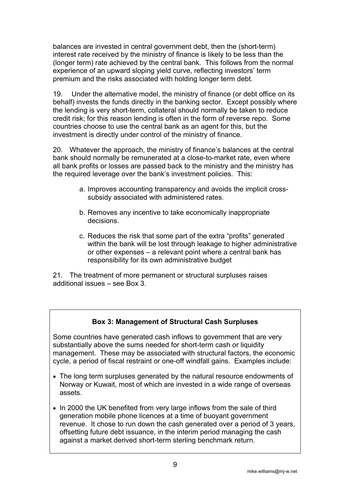balances are invested in central government debt, then the (short-term) interest rate received by the ministry of finance is likely to be less than the (longer term) rate achieved by the central bank. This follows from the normal experience of an upward sloping yield curve, reflecting investors' term premium and the risks associated with holding longer term debt.

19. Under the alternative model, the ministry of finance (or debt office on its behalf) invests the funds directly in the banking sector. Except possibly where the lending is very short-term, collateral should normally be taken to reduce credit risk; for this reason lending is often in the form of reverse repo. Some countries choose to use the central bank as an agent for this, but the investment is directly under control of the ministry of finance.

20. Whatever the approach, the ministry of finance's balances at the central bank should normally be remunerated at a close-to-market rate, even where all bank profits or losses are passed back to the ministry and the ministry has the required leverage over the bank's investment policies. This:

- a. Improves accounting transparency and avoids the implicit crosssubsidy associated with administered rates.
- b. Removes any incentive to take economically inappropriate decisions.
- c. Reduces the risk that some part of the extra "profits" generated within the bank will be lost through leakage to higher administrative or other expenses – a relevant point where a central bank has responsibility for its own administrative budget

21. The treatment of more permanent or structural surpluses raises additional issues – see Box 3.

## **Box 3: Management of Structural Cash Surpluses**

Some countries have generated cash inflows to government that are very substantially above the sums needed for short-term cash or liquidity management. These may be associated with structural factors, the economic cycle, a period of fiscal restraint or one-off windfall gains. Examples include:

- The long term surpluses generated by the natural resource endowments of Norway or Kuwait, most of which are invested in a wide range of overseas assets.
- In 2000 the UK benefited from very large inflows from the sale of third generation mobile phone licences at a time of buoyant government revenue. It chose to run down the cash generated over a period of 3 years, offsetting future debt issuance, in the interim period managing the cash against a market derived short-term sterling benchmark return.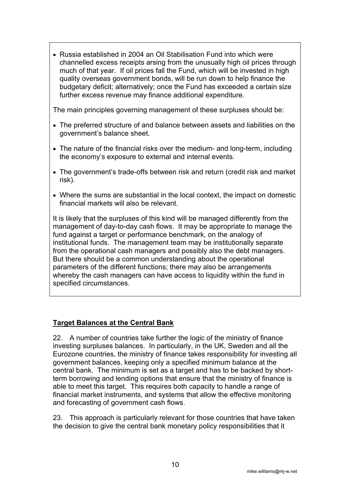<span id="page-10-0"></span>• Russia established in 2004 an Oil Stabilisation Fund into which were channelled excess receipts arsing from the unusually high oil prices through much of that year. If oil prices fall the Fund, which will be invested in high quality overseas government bonds, will be run down to help finance the budgetary deficit; alternatively; once the Fund has exceeded a certain size further excess revenue may finance additional expenditure.

The main principles governing management of these surpluses should be:

- The preferred structure of and balance between assets and liabilities on the government's balance sheet.
- The nature of the financial risks over the medium- and long-term, including the economy's exposure to external and internal events.
- The government's trade-offs between risk and return (credit risk and market risk).
- Where the sums are substantial in the local context, the impact on domestic financial markets will also be relevant.

It is likely that the surpluses of this kind will be managed differently from the management of day-to-day cash flows. It may be appropriate to manage the fund against a target or performance benchmark, on the analogy of institutional funds. The management team may be institutionally separate from the operational cash managers and possibly also the debt managers. But there should be a common understanding about the operational parameters of the different functions; there may also be arrangements whereby the cash managers can have access to liquidity within the fund in specified circumstances.

## **Target Balances at the Central Bank**

22. A number of countries take further the logic of the ministry of finance investing surpluses balances. In particularly, in the UK, Sweden and all the Eurozone countries, the ministry of finance takes responsibility for investing all government balances, keeping only a specified minimum balance at the central bank. The minimum is set as a target and has to be backed by shortterm borrowing and lending options that ensure that the ministry of finance is able to meet this target. This requires both capacity to handle a range of financial market instruments, and systems that allow the effective monitoring and forecasting of government cash flows.

23. This approach is particularly relevant for those countries that have taken the decision to give the central bank monetary policy responsibilities that it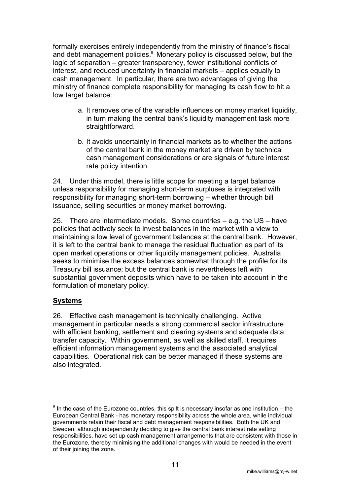<span id="page-11-0"></span>formally exercises entirely independently from the ministry of finance's fiscal and debt management policies.<sup>[9](#page-11-1)</sup> Monetary policy is discussed below, but the logic of separation – greater transparency, fewer institutional conflicts of interest, and reduced uncertainty in financial markets – applies equally to cash management. In particular, there are two advantages of giving the ministry of finance complete responsibility for managing its cash flow to hit a low target balance:

- a. It removes one of the variable influences on money market liquidity, in turn making the central bank's liquidity management task more straightforward.
- b. It avoids uncertainty in financial markets as to whether the actions of the central bank in the money market are driven by technical cash management considerations or are signals of future interest rate policy intention.

24. Under this model, there is little scope for meeting a target balance unless responsibility for managing short-term surpluses is integrated with responsibility for managing short-term borrowing – whether through bill issuance, selling securities or money market borrowing.

25. There are intermediate models. Some countries – e.g. the US – have policies that actively seek to invest balances in the market with a view to maintaining a low level of government balances at the central bank. However, it is left to the central bank to manage the residual fluctuation as part of its open market operations or other liquidity management policies. Australia seeks to minimise the excess balances somewhat through the profile for its Treasury bill issuance; but the central bank is nevertheless left with substantial government deposits which have to be taken into account in the formulation of monetary policy.

## **Systems**

 $\overline{a}$ 

26. Effective cash management is technically challenging. Active management in particular needs a strong commercial sector infrastructure with efficient banking, settlement and clearing systems and adequate data transfer capacity. Within government, as well as skilled staff, it requires efficient information management systems and the associated analytical capabilities. Operational risk can be better managed if these systems are also integrated.

<span id="page-11-1"></span> $9$  In the case of the Eurozone countries, this spilt is necessary insofar as one institution – the European Central Bank - has monetary responsibility across the whole area, while individual governments retain their fiscal and debt management responsibilities. Both the UK and Sweden, although independently deciding to give the central bank interest rate setting responsibilities, have set up cash management arrangements that are consistent with those in the Eurozone, thereby minimising the additional changes with would be needed in the event of their joining the zone.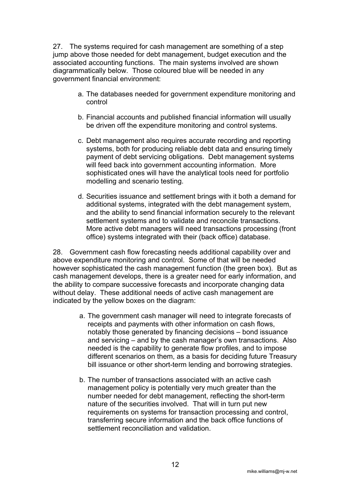27. The systems required for cash management are something of a step jump above those needed for debt management, budget execution and the associated accounting functions. The main systems involved are shown diagrammatically below. Those coloured blue will be needed in any government financial environment:

- a. The databases needed for government expenditure monitoring and control
- b. Financial accounts and published financial information will usually be driven off the expenditure monitoring and control systems.
- c. Debt management also requires accurate recording and reporting systems, both for producing reliable debt data and ensuring timely payment of debt servicing obligations. Debt management systems will feed back into government accounting information. More sophisticated ones will have the analytical tools need for portfolio modelling and scenario testing.
- d. Securities issuance and settlement brings with it both a demand for additional systems, integrated with the debt management system, and the ability to send financial information securely to the relevant settlement systems and to validate and reconcile transactions. More active debt managers will need transactions processing (front office) systems integrated with their (back office) database.

28. Government cash flow forecasting needs additional capability over and above expenditure monitoring and control. Some of that will be needed however sophisticated the cash management function (the green box). But as cash management develops, there is a greater need for early information, and the ability to compare successive forecasts and incorporate changing data without delay. These additional needs of active cash management are indicated by the yellow boxes on the diagram:

- a. The government cash manager will need to integrate forecasts of receipts and payments with other information on cash flows, notably those generated by financing decisions – bond issuance and servicing – and by the cash manager's own transactions. Also needed is the capability to generate flow profiles, and to impose different scenarios on them, as a basis for deciding future Treasury bill issuance or other short-term lending and borrowing strategies.
- b. The number of transactions associated with an active cash management policy is potentially very much greater than the number needed for debt management, reflecting the short-term nature of the securities involved. That will in turn put new requirements on systems for transaction processing and control, transferring secure information and the back office functions of settlement reconciliation and validation.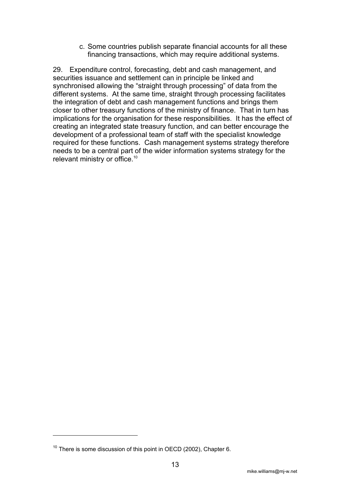c. Some countries publish separate financial accounts for all these financing transactions, which may require additional systems.

29. Expenditure control, forecasting, debt and cash management, and securities issuance and settlement can in principle be linked and synchronised allowing the "straight through processing" of data from the different systems. At the same time, straight through processing facilitates the integration of debt and cash management functions and brings them closer to other treasury functions of the ministry of finance. That in turn has implications for the organisation for these responsibilities. It has the effect of creating an integrated state treasury function, and can better encourage the development of a professional team of staff with the specialist knowledge required for these functions. Cash management systems strategy therefore needs to be a central part of the wider information systems strategy for the relevant ministry or office.<sup>[10](#page-13-0)</sup>

 $\overline{a}$ 

<span id="page-13-0"></span> $10$  There is some discussion of this point in OECD (2002), Chapter 6.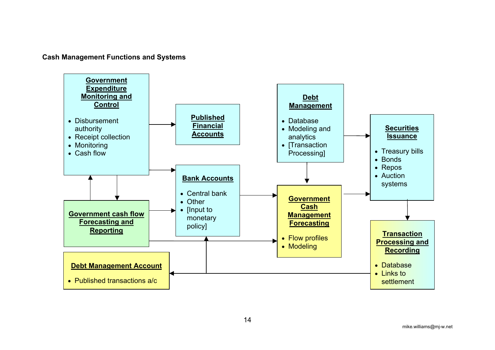#### **Cash Management Functions and Systems**

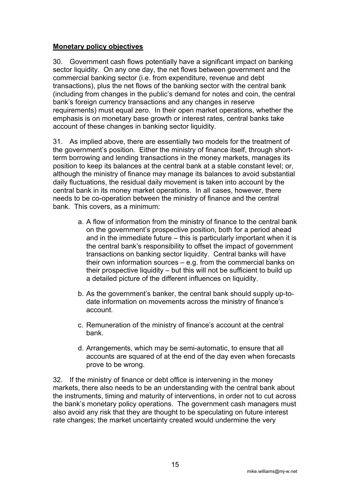## <span id="page-15-0"></span>**Monetary policy objectives**

30. Government cash flows potentially have a significant impact on banking sector liquidity. On any one day, the net flows between government and the commercial banking sector (i.e. from expenditure, revenue and debt transactions), plus the net flows of the banking sector with the central bank (including from changes in the public's demand for notes and coin, the central bank's foreign currency transactions and any changes in reserve requirements) must equal zero. In their open market operations, whether the emphasis is on monetary base growth or interest rates, central banks take account of these changes in banking sector liquidity.

31. As implied above, there are essentially two models for the treatment of the government's position. Either the ministry of finance itself, through shortterm borrowing and lending transactions in the money markets, manages its position to keep its balances at the central bank at a stable constant level; or, although the ministry of finance may manage its balances to avoid substantial daily fluctuations, the residual daily movement is taken into account by the central bank in its money market operations. In all cases, however, there needs to be co-operation between the ministry of finance and the central bank. This covers, as a minimum:

- a. A flow of information from the ministry of finance to the central bank on the government's prospective position, both for a period ahead and in the immediate future – this is particularly important when it is the central bank's responsibility to offset the impact of government transactions on banking sector liquidity. Central banks will have their own information sources – e.g. from the commercial banks on their prospective liquidity – but this will not be sufficient to build up a detailed picture of the different influences on liquidity.
- b. As the government's banker, the central bank should supply up-todate information on movements across the ministry of finance's account.
- c. Remuneration of the ministry of finance's account at the central bank.
- d. Arrangements, which may be semi-automatic, to ensure that all accounts are squared of at the end of the day even when forecasts prove to be wrong.

32. If the ministry of finance or debt office is intervening in the money markets, there also needs to be an understanding with the central bank about the instruments, timing and maturity of interventions, in order not to cut across the bank's monetary policy operations. The government cash managers must also avoid any risk that they are thought to be speculating on future interest rate changes; the market uncertainty created would undermine the very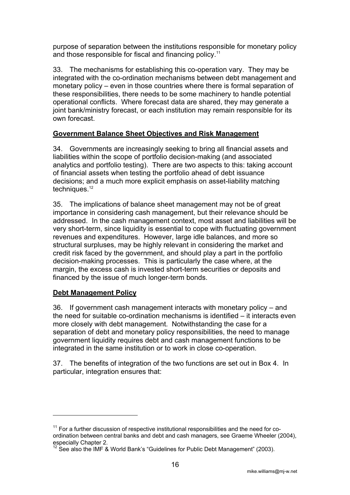<span id="page-16-0"></span>purpose of separation between the institutions responsible for monetary policy and those responsible for fiscal and financing policy.<sup>11</sup>

33. The mechanisms for establishing this co-operation vary. They may be integrated with the co-ordination mechanisms between debt management and monetary policy – even in those countries where there is formal separation of these responsibilities, there needs to be some machinery to handle potential operational conflicts. Where forecast data are shared, they may generate a joint bank/ministry forecast, or each institution may remain responsible for its own forecast.

## **Government Balance Sheet Objectives and Risk Management**

34. Governments are increasingly seeking to bring all financial assets and liabilities within the scope of portfolio decision-making (and associated analytics and portfolio testing). There are two aspects to this: taking account of financial assets when testing the portfolio ahead of debt issuance decisions; and a much more explicit emphasis on asset-liability matching techniques.<sup>12</sup>

35. The implications of balance sheet management may not be of great importance in considering cash management, but their relevance should be addressed. In the cash management context, most asset and liabilities will be very short-term, since liquidity is essential to cope with fluctuating government revenues and expenditures. However, large idle balances, and more so structural surpluses, may be highly relevant in considering the market and credit risk faced by the government, and should play a part in the portfolio decision-making processes. This is particularly the case where, at the margin, the excess cash is invested short-term securities or deposits and financed by the issue of much longer-term bonds.

## **Debt Management Policy**

 $\overline{a}$ 

36. If government cash management interacts with monetary policy – and the need for suitable co-ordination mechanisms is identified – it interacts even more closely with debt management. Notwithstanding the case for a separation of debt and monetary policy responsibilities, the need to manage government liquidity requires debt and cash management functions to be integrated in the same institution or to work in close co-operation.

37. The benefits of integration of the two functions are set out in Box 4. In particular, integration ensures that:

<span id="page-16-1"></span> $11$  For a further discussion of respective institutional responsibilities and the need for coordination between central banks and debt and cash managers, see Graeme Wheeler (2004),

<span id="page-16-2"></span>especially Chapter 2.<br><sup>12</sup> See also the IMF & World Bank's "Guidelines for Public Debt Management" (2003).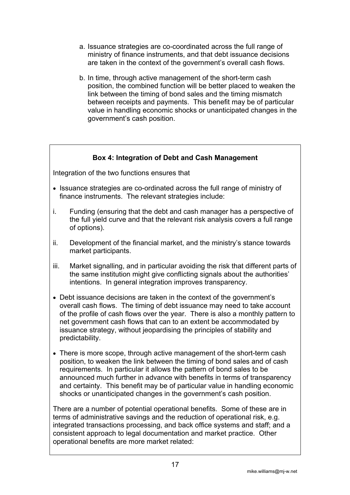- a. Issuance strategies are co-coordinated across the full range of ministry of finance instruments, and that debt issuance decisions are taken in the context of the government's overall cash flows.
- b. In time, through active management of the short-term cash position, the combined function will be better placed to weaken the link between the timing of bond sales and the timing mismatch between receipts and payments. This benefit may be of particular value in handling economic shocks or unanticipated changes in the government's cash position.

## **Box 4: Integration of Debt and Cash Management**

Integration of the two functions ensures that

- Issuance strategies are co-ordinated across the full range of ministry of finance instruments. The relevant strategies include:
- i. Funding (ensuring that the debt and cash manager has a perspective of the full yield curve and that the relevant risk analysis covers a full range of options).
- ii. Development of the financial market, and the ministry's stance towards market participants.
- iii. Market signalling, and in particular avoiding the risk that different parts of the same institution might give conflicting signals about the authorities' intentions. In general integration improves transparency.
- Debt issuance decisions are taken in the context of the government's overall cash flows. The timing of debt issuance may need to take account of the profile of cash flows over the year. There is also a monthly pattern to net government cash flows that can to an extent be accommodated by issuance strategy, without jeopardising the principles of stability and predictability.
- There is more scope, through active management of the short-term cash position, to weaken the link between the timing of bond sales and of cash requirements. In particular it allows the pattern of bond sales to be announced much further in advance with benefits in terms of transparency and certainty. This benefit may be of particular value in handling economic shocks or unanticipated changes in the government's cash position.

There are a number of potential operational benefits. Some of these are in terms of administrative savings and the reduction of operational risk, e.g. integrated transactions processing, and back office systems and staff; and a consistent approach to legal documentation and market practice. Other operational benefits are more market related: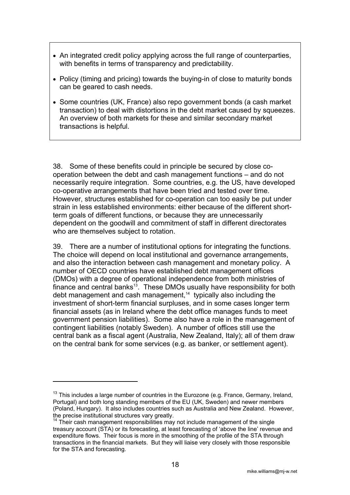- An integrated credit policy applying across the full range of counterparties, with benefits in terms of transparency and predictability.
- Policy (timing and pricing) towards the buying-in of close to maturity bonds can be geared to cash needs.
- Some countries (UK, France) also repo government bonds (a cash market transaction) to deal with distortions in the debt market caused by squeezes. An overview of both markets for these and similar secondary market transactions is helpful.

38. Some of these benefits could in principle be secured by close cooperation between the debt and cash management functions – and do not necessarily require integration. Some countries, e.g. the US, have developed co-operative arrangements that have been tried and tested over time. However, structures established for co-operation can too easily be put under strain in less established environments: either because of the different shortterm goals of different functions, or because they are unnecessarily dependent on the goodwill and commitment of staff in different directorates who are themselves subject to rotation.

39. There are a number of institutional options for integrating the functions. The choice will depend on local institutional and governance arrangements, and also the interaction between cash management and monetary policy. A number of OECD countries have established debt management offices (DMOs) with a degree of operational independence from both ministries of  $f$ inance and central banks<sup>13</sup>. These DMOs usually have responsibility for both debt management and cash management,<sup>14</sup> typically also including the investment of short-term financial surpluses, and in some cases longer term financial assets (as in Ireland where the debt office manages funds to meet government pension liabilities). Some also have a role in the management of contingent liabilities (notably Sweden). A number of offices still use the central bank as a fiscal agent (Australia, New Zealand, Italy); all of them draw on the central bank for some services (e.g. as banker, or settlement agent).

 $\overline{a}$ 

<span id="page-18-0"></span> $13$  This includes a large number of countries in the Eurozone (e.g. France, Germany, Ireland, Portugal) and both long standing members of the EU (UK, Sweden) and newer members (Poland, Hungary). It also includes countries such as Australia and New Zealand. However,

<span id="page-18-1"></span> $14$  Their cash management responsibilities may not include management of the single treasury account (STA) or its forecasting, at least forecasting of 'above the line' revenue and expenditure flows. Their focus is more in the smoothing of the profile of the STA through transactions in the financial markets. But they will liaise very closely with those responsible for the STA and forecasting.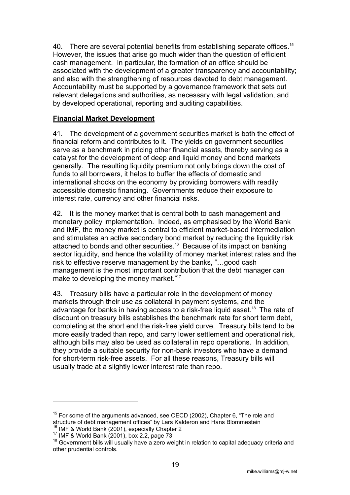<span id="page-19-0"></span>40.There are several potential benefits from establishing separate offices.<sup>15</sup> However, the issues that arise go much wider than the question of efficient cash management. In particular, the formation of an office should be associated with the development of a greater transparency and accountability; and also with the strengthening of resources devoted to debt management. Accountability must be supported by a governance framework that sets out relevant delegations and authorities, as necessary with legal validation, and by developed operational, reporting and auditing capabilities.

## **Financial Market Development**

41. The development of a government securities market is both the effect of financial reform and contributes to it. The yields on government securities serve as a benchmark in pricing other financial assets, thereby serving as a catalyst for the development of deep and liquid money and bond markets generally. The resulting liquidity premium not only brings down the cost of funds to all borrowers, it helps to buffer the effects of domestic and international shocks on the economy by providing borrowers with readily accessible domestic financing. Governments reduce their exposure to interest rate, currency and other financial risks.

42. It is the money market that is central both to cash management and monetary policy implementation. Indeed, as emphasised by the World Bank and IMF, the money market is central to efficient market-based intermediation and stimulates an active secondary bond market by reducing the liquidity risk attached to bonds and other securities.<sup>16</sup> Because of its impact on banking sector liquidity, and hence the volatility of money market interest rates and the risk to effective reserve management by the banks, "…good cash management is the most important contribution that the debt manager can make to developing the money market."<sup>[17](#page-19-3)</sup>

43. Treasury bills have a particular role in the development of money markets through their use as collateral in payment systems, and the advantage for banks in having access to a risk-free liquid asset.<sup>[18](#page-19-4)</sup> The rate of discount on treasury bills establishes the benchmark rate for short term debt, completing at the short end the risk-free yield curve. Treasury bills tend to be more easily traded than repo, and carry lower settlement and operational risk, although bills may also be used as collateral in repo operations. In addition, they provide a suitable security for non-bank investors who have a demand for short-term risk-free assets. For all these reasons, Treasury bills will usually trade at a slightly lower interest rate than repo.

 $\overline{a}$ 

<span id="page-19-1"></span> $15$  For some of the arguments advanced, see OECD (2002), Chapter 6, "The role and structure of debt management offices" by Lars Kalderon and Hans Blommestein<br><sup>16</sup> IMF & World Bank (2001), especially Chapter 2

<span id="page-19-3"></span><span id="page-19-2"></span> $17$  IMF & World Bank (2001), box 2.2, page 73

<span id="page-19-4"></span><sup>&</sup>lt;sup>18</sup> Government bills will usually have a zero weight in relation to capital adequacy criteria and other prudential controls.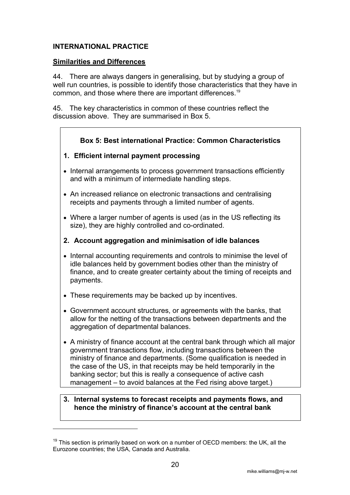## <span id="page-20-0"></span>**INTERNATIONAL PRACTICE**

#### **Similarities and Differences**

 $\overline{a}$ 

44. There are always dangers in generalising, but by studying a group of well run countries, is possible to identify those characteristics that they have in common, and those where there are important differences.[19](#page-20-1) 

45. The key characteristics in common of these countries reflect the discussion above. They are summarised in Box 5.

## **Box 5: Best international Practice: Common Characteristics**

## **1. Efficient internal payment processing**

- Internal arrangements to process government transactions efficiently and with a minimum of intermediate handling steps.
- An increased reliance on electronic transactions and centralising receipts and payments through a limited number of agents.
- Where a larger number of agents is used (as in the US reflecting its size), they are highly controlled and co-ordinated.

## **2. Account aggregation and minimisation of idle balances**

- Internal accounting requirements and controls to minimise the level of idle balances held by government bodies other than the ministry of finance, and to create greater certainty about the timing of receipts and payments.
- These requirements may be backed up by incentives.
- Government account structures, or agreements with the banks, that allow for the netting of the transactions between departments and the aggregation of departmental balances.
- A ministry of finance account at the central bank through which all major government transactions flow, including transactions between the ministry of finance and departments. (Some qualification is needed in the case of the US, in that receipts may be held temporarily in the banking sector; but this is really a consequence of active cash management – to avoid balances at the Fed rising above target.)

## **3. Internal systems to forecast receipts and payments flows, and hence the ministry of finance's account at the central bank**

<span id="page-20-1"></span> $19$  This section is primarily based on work on a number of OECD members: the UK, all the Eurozone countries; the USA, Canada and Australia.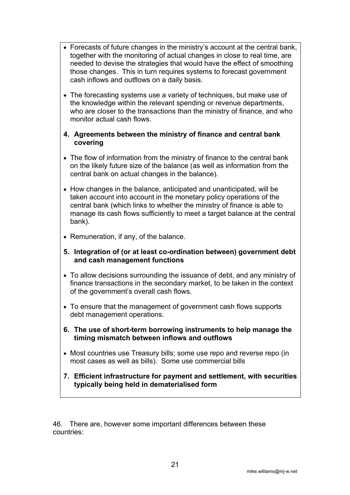- Forecasts of future changes in the ministry's account at the central bank, together with the monitoring of actual changes in close to real time, are needed to devise the strategies that would have the effect of smoothing those changes. This in turn requires systems to forecast government cash inflows and outflows on a daily basis.
- The forecasting systems use a variety of techniques, but make use of the knowledge within the relevant spending or revenue departments, who are closer to the transactions than the ministry of finance, and who monitor actual cash flows.

#### **4. Agreements between the ministry of finance and central bank covering**

- The flow of information from the ministry of finance to the central bank on the likely future size of the balance (as well as information from the central bank on actual changes in the balance).
- How changes in the balance, anticipated and unanticipated, will be taken account into account in the monetary policy operations of the central bank (which links to whether the ministry of finance is able to manage its cash flows sufficiently to meet a target balance at the central bank).
- Remuneration, if any, of the balance.
- **5. Integration of (or at least co-ordination between) government debt and cash management functions**
- To allow decisions surrounding the issuance of debt, and any ministry of finance transactions in the secondary market, to be taken in the context of the government's overall cash flows.
- To ensure that the management of government cash flows supports debt management operations.
- **6. The use of short-term borrowing instruments to help manage the timing mismatch between inflows and outflows**
- Most countries use Treasury bills; some use repo and reverse repo (in most cases as well as bills). Some use commercial bills
- **7. Efficient infrastructure for payment and settlement, with securities typically being held in dematerialised form**

46. There are, however some important differences between these countries: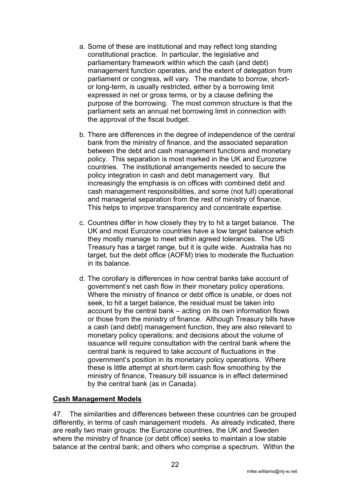- <span id="page-22-0"></span>a. Some of these are institutional and may reflect long standing constitutional practice. In particular, the legislative and parliamentary framework within which the cash (and debt) management function operates, and the extent of delegation from parliament or congress, will vary. The mandate to borrow, shortor long-term, is usually restricted, either by a borrowing limit expressed in net or gross terms, or by a clause defining the purpose of the borrowing. The most common structure is that the parliament sets an annual net borrowing limit in connection with the approval of the fiscal budget.
- b. There are differences in the degree of independence of the central bank from the ministry of finance, and the associated separation between the debt and cash management functions and monetary policy. This separation is most marked in the UK and Eurozone countries. The institutional arrangements needed to secure the policy integration in cash and debt management vary. But increasingly the emphasis is on offices with combined debt and cash management responsibilities, and some (not full) operational and managerial separation from the rest of ministry of finance. This helps to improve transparency and concentrate expertise.
- c. Countries differ in how closely they try to hit a target balance. The UK and most Eurozone countries have a low target balance which they mostly manage to meet within agreed tolerances. The US Treasury has a target range, but it is quite wide. Australia has no target, but the debt office (AOFM) tries to moderate the fluctuation in its balance.
- d. The corollary is differences in how central banks take account of government's net cash flow in their monetary policy operations. Where the ministry of finance or debt office is unable, or does not seek, to hit a target balance, the residual must be taken into account by the central bank – acting on its own information flows or those from the ministry of finance. Although Treasury bills have a cash (and debt) management function, they are also relevant to monetary policy operations; and decisions about the volume of issuance will require consultation with the central bank where the central bank is required to take account of fluctuations in the government's position in its monetary policy operations. Where these is little attempt at short-term cash flow smoothing by the ministry of finance, Treasury bill issuance is in effect determined by the central bank (as in Canada).

## **Cash Management Models**

47. The similarities and differences between these countries can be grouped differently, in terms of cash management models. As already indicated, there are really two main groups: the Eurozone countries, the UK and Sweden where the ministry of finance (or debt office) seeks to maintain a low stable balance at the central bank; and others who comprise a spectrum. Within the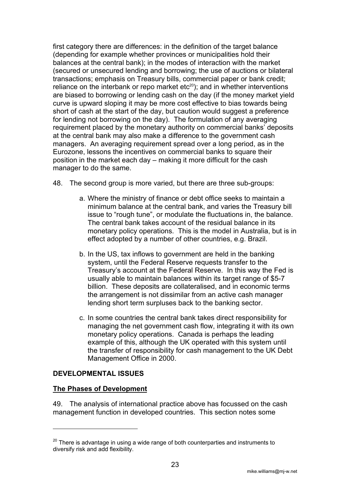<span id="page-23-0"></span>first category there are differences: in the definition of the target balance (depending for example whether provinces or municipalities hold their balances at the central bank); in the modes of interaction with the market (secured or unsecured lending and borrowing; the use of auctions or bilateral transactions; emphasis on Treasury bills, commercial paper or bank credit; reliance on the interbank or repo market  $etc<sup>20</sup>$ ); and in whether interventions are biased to borrowing or lending cash on [the](#page-23-1) day (if the money market yield curve is upward sloping it may be more cost effective to bias towards being short of cash at the start of the day, but caution would suggest a preference for lending not borrowing on the day). The formulation of any averaging requirement placed by the monetary authority on commercial banks' deposits at the central bank may also make a difference to the government cash managers. An averaging requirement spread over a long period, as in the Eurozone, lessons the incentives on commercial banks to square their position in the market each day – making it more difficult for the cash manager to do the same.

- 48. The second group is more varied, but there are three sub-groups:
	- a. Where the ministry of finance or debt office seeks to maintain a minimum balance at the central bank, and varies the Treasury bill issue to "rough tune", or modulate the fluctuations in, the balance. The central bank takes account of the residual balance in its monetary policy operations. This is the model in Australia, but is in effect adopted by a number of other countries, e.g. Brazil.
	- b. In the US, tax inflows to government are held in the banking system, until the Federal Reserve requests transfer to the Treasury's account at the Federal Reserve. In this way the Fed is usually able to maintain balances within its target range of \$5-7 billion. These deposits are collateralised, and in economic terms the arrangement is not dissimilar from an active cash manager lending short term surpluses back to the banking sector.
	- c. In some countries the central bank takes direct responsibility for managing the net government cash flow, integrating it with its own monetary policy operations. Canada is perhaps the leading example of this, although the UK operated with this system until the transfer of responsibility for cash management to the UK Debt Management Office in 2000.

## **DEVELOPMENTAL ISSUES**

#### **The Phases of Development**

 $\overline{a}$ 

49. The analysis of international practice above has focussed on the cash management function in developed countries. This section notes some

<span id="page-23-1"></span> $20$  There is advantage in using a wide range of both counterparties and instruments to diversify risk and add flexibility.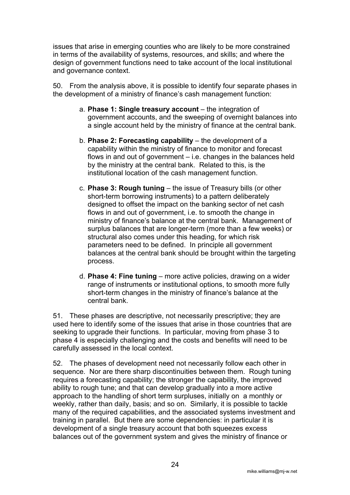issues that arise in emerging counties who are likely to be more constrained in terms of the availability of systems, resources, and skills; and where the design of government functions need to take account of the local institutional and governance context.

50. From the analysis above, it is possible to identify four separate phases in the development of a ministry of finance's cash management function:

- a. **Phase 1: Single treasury account** the integration of government accounts, and the sweeping of overnight balances into a single account held by the ministry of finance at the central bank.
- b. **Phase 2: Forecasting capability** the development of a capability within the ministry of finance to monitor and forecast flows in and out of government – i.e. changes in the balances held by the ministry at the central bank. Related to this, is the institutional location of the cash management function.
- c. **Phase 3: Rough tuning** the issue of Treasury bills (or other short-term borrowing instruments) to a pattern deliberately designed to offset the impact on the banking sector of net cash flows in and out of government, i.e. to smooth the change in ministry of finance's balance at the central bank. Management of surplus balances that are longer-term (more than a few weeks) or structural also comes under this heading, for which risk parameters need to be defined. In principle all government balances at the central bank should be brought within the targeting process.
- d. **Phase 4: Fine tuning** more active policies, drawing on a wider range of instruments or institutional options, to smooth more fully short-term changes in the ministry of finance's balance at the central bank.

51. These phases are descriptive, not necessarily prescriptive; they are used here to identify some of the issues that arise in those countries that are seeking to upgrade their functions. In particular, moving from phase 3 to phase 4 is especially challenging and the costs and benefits will need to be carefully assessed in the local context.

52. The phases of development need not necessarily follow each other in sequence. Nor are there sharp discontinuities between them. Rough tuning requires a forecasting capability; the stronger the capability, the improved ability to rough tune; and that can develop gradually into a more active approach to the handling of short term surpluses, initially on a monthly or weekly, rather than daily, basis; and so on. Similarly, it is possible to tackle many of the required capabilities, and the associated systems investment and training in parallel. But there are some dependencies: in particular it is development of a single treasury account that both squeezes excess balances out of the government system and gives the ministry of finance or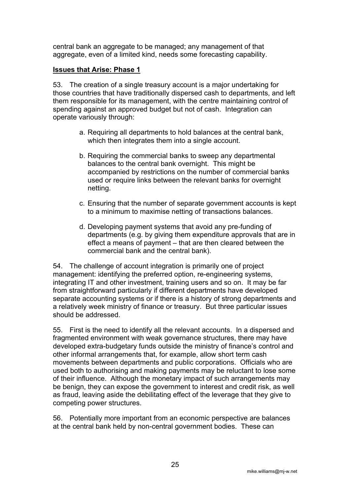<span id="page-25-0"></span>central bank an aggregate to be managed; any management of that aggregate, even of a limited kind, needs some forecasting capability.

## **Issues that Arise: Phase 1**

53. The creation of a single treasury account is a major undertaking for those countries that have traditionally dispersed cash to departments, and left them responsible for its management, with the centre maintaining control of spending against an approved budget but not of cash. Integration can operate variously through:

- a. Requiring all departments to hold balances at the central bank, which then integrates them into a single account.
- b. Requiring the commercial banks to sweep any departmental balances to the central bank overnight. This might be accompanied by restrictions on the number of commercial banks used or require links between the relevant banks for overnight netting.
- c. Ensuring that the number of separate government accounts is kept to a minimum to maximise netting of transactions balances.
- d. Developing payment systems that avoid any pre-funding of departments (e.g. by giving them expenditure approvals that are in effect a means of payment – that are then cleared between the commercial bank and the central bank).

54. The challenge of account integration is primarily one of project management: identifying the preferred option, re-engineering systems, integrating IT and other investment, training users and so on. It may be far from straightforward particularly if different departments have developed separate accounting systems or if there is a history of strong departments and a relatively week ministry of finance or treasury. But three particular issues should be addressed.

55. First is the need to identify all the relevant accounts. In a dispersed and fragmented environment with weak governance structures, there may have developed extra-budgetary funds outside the ministry of finance's control and other informal arrangements that, for example, allow short term cash movements between departments and public corporations. Officials who are used both to authorising and making payments may be reluctant to lose some of their influence. Although the monetary impact of such arrangements may be benign, they can expose the government to interest and credit risk, as well as fraud, leaving aside the debilitating effect of the leverage that they give to competing power structures.

56. Potentially more important from an economic perspective are balances at the central bank held by non-central government bodies. These can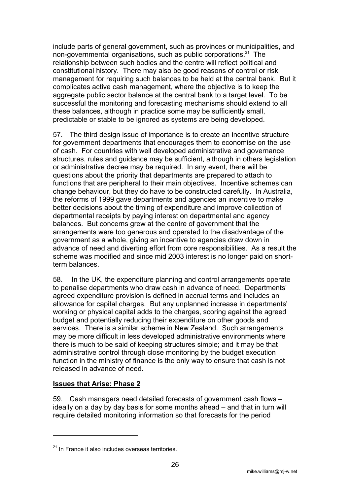<span id="page-26-0"></span>include parts of general government, such as provinces or municipalities, and non-governmental organisations, such as public corporations.<sup>21</sup> The relationship between such bodies and the centre will reflect p[olit](#page-26-1)ical and constitutional history. There may also be good reasons of control or risk management for requiring such balances to be held at the central bank. But it complicates active cash management, where the objective is to keep the aggregate public sector balance at the central bank to a target level. To be successful the monitoring and forecasting mechanisms should extend to all these balances, although in practice some may be sufficiently small, predictable or stable to be ignored as systems are being developed.

57. The third design issue of importance is to create an incentive structure for government departments that encourages them to economise on the use of cash. For countries with well developed administrative and governance structures, rules and guidance may be sufficient, although in others legislation or administrative decree may be required. In any event, there will be questions about the priority that departments are prepared to attach to functions that are peripheral to their main objectives. Incentive schemes can change behaviour, but they do have to be constructed carefully. In Australia, the reforms of 1999 gave departments and agencies an incentive to make better decisions about the timing of expenditure and improve collection of departmental receipts by paying interest on departmental and agency balances. But concerns grew at the centre of government that the arrangements were too generous and operated to the disadvantage of the government as a whole, giving an incentive to agencies draw down in advance of need and diverting effort from core responsibilities. As a result the scheme was modified and since mid 2003 interest is no longer paid on shortterm balances.

58. In the UK, the expenditure planning and control arrangements operate to penalise departments who draw cash in advance of need. Departments' agreed expenditure provision is defined in accrual terms and includes an allowance for capital charges. But any unplanned increase in departments' working or physical capital adds to the charges, scoring against the agreed budget and potentially reducing their expenditure on other goods and services. There is a similar scheme in New Zealand. Such arrangements may be more difficult in less developed administrative environments where there is much to be said of keeping structures simple; and it may be that administrative control through close monitoring by the budget execution function in the ministry of finance is the only way to ensure that cash is not released in advance of need.

## **Issues that Arise: Phase 2**

 $\overline{a}$ 

59. Cash managers need detailed forecasts of government cash flows – ideally on a day by day basis for some months ahead – and that in turn will require detailed monitoring information so that forecasts for the period

<span id="page-26-1"></span> $21$  In France it also includes overseas territories.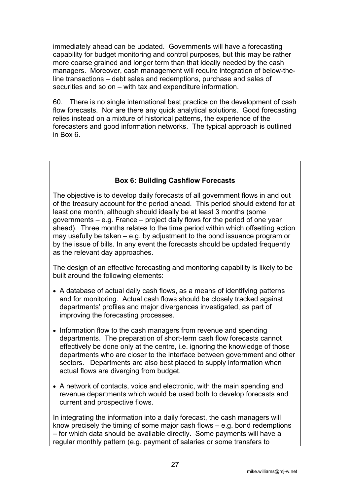immediately ahead can be updated. Governments will have a forecasting capability for budget monitoring and control purposes, but this may be rather more coarse grained and longer term than that ideally needed by the cash managers. Moreover, cash management will require integration of below-theline transactions – debt sales and redemptions, purchase and sales of securities and so on – with tax and expenditure information.

60. There is no single international best practice on the development of cash flow forecasts. Nor are there any quick analytical solutions. Good forecasting relies instead on a mixture of historical patterns, the experience of the forecasters and good information networks. The typical approach is outlined in Box 6.

## **Box 6: Building Cashflow Forecasts**

The objective is to develop daily forecasts of all government flows in and out of the treasury account for the period ahead. This period should extend for at least one month, although should ideally be at least 3 months (some governments – e.g. France – project daily flows for the period of one year ahead). Three months relates to the time period within which offsetting action may usefully be taken – e.g. by adjustment to the bond issuance program or by the issue of bills. In any event the forecasts should be updated frequently as the relevant day approaches.

The design of an effective forecasting and monitoring capability is likely to be built around the following elements:

- A database of actual daily cash flows, as a means of identifying patterns and for monitoring. Actual cash flows should be closely tracked against departments' profiles and major divergences investigated, as part of improving the forecasting processes.
- Information flow to the cash managers from revenue and spending departments. The preparation of short-term cash flow forecasts cannot effectively be done only at the centre, i.e. ignoring the knowledge of those departments who are closer to the interface between government and other sectors. Departments are also best placed to supply information when actual flows are diverging from budget.
- A network of contacts, voice and electronic, with the main spending and revenue departments which would be used both to develop forecasts and current and prospective flows.

In integrating the information into a daily forecast, the cash managers will know precisely the timing of some major cash flows – e.g. bond redemptions – for which data should be available directly. Some payments will have a regular monthly pattern (e.g. payment of salaries or some transfers to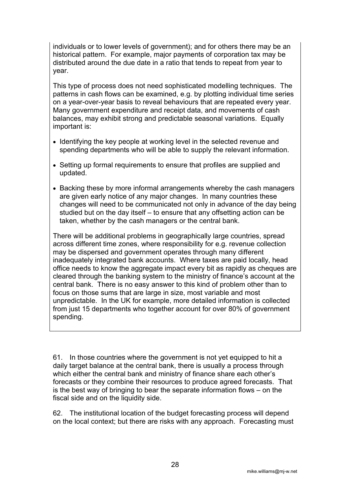individuals or to lower levels of government); and for others there may be an historical pattern. For example, major payments of corporation tax may be distributed around the due date in a ratio that tends to repeat from year to year.

This type of process does not need sophisticated modelling techniques. The patterns in cash flows can be examined, e.g. by plotting individual time series on a year-over-year basis to reveal behaviours that are repeated every year. Many government expenditure and receipt data, and movements of cash balances, may exhibit strong and predictable seasonal variations. Equally important is:

- Identifying the key people at working level in the selected revenue and spending departments who will be able to supply the relevant information.
- Setting up formal requirements to ensure that profiles are supplied and updated.
- Backing these by more informal arrangements whereby the cash managers are given early notice of any major changes. In many countries these changes will need to be communicated not only in advance of the day being studied but on the day itself – to ensure that any offsetting action can be taken, whether by the cash managers or the central bank.

There will be additional problems in geographically large countries, spread across different time zones, where responsibility for e.g. revenue collection may be dispersed and government operates through many different inadequately integrated bank accounts. Where taxes are paid locally, head office needs to know the aggregate impact every bit as rapidly as cheques are cleared through the banking system to the ministry of finance's account at the central bank. There is no easy answer to this kind of problem other than to focus on those sums that are large in size, most variable and most unpredictable. In the UK for example, more detailed information is collected from just 15 departments who together account for over 80% of government spending.

61. In those countries where the government is not yet equipped to hit a daily target balance at the central bank, there is usually a process through which either the central bank and ministry of finance share each other's forecasts or they combine their resources to produce agreed forecasts. That is the best way of bringing to bear the separate information flows – on the fiscal side and on the liquidity side.

62. The institutional location of the budget forecasting process will depend on the local context; but there are risks with any approach. Forecasting must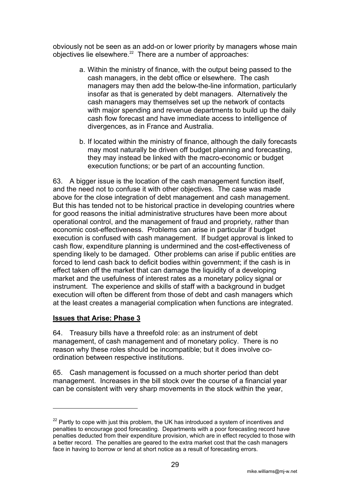<span id="page-29-0"></span>obviously not be seen as an add-on or lower priority by managers whose main objectiveslie elsewhere.<sup>22</sup> There are a number of approaches:

- a. Within the ministry of finance, with the output being passed to the cash managers, in the debt office or elsewhere. The cash managers may then add the below-the-line information, particularly insofar as that is generated by debt managers. Alternatively the cash managers may themselves set up the network of contacts with major spending and revenue departments to build up the daily cash flow forecast and have immediate access to intelligence of divergences, as in France and Australia.
- b. If located within the ministry of finance, although the daily forecasts may most naturally be driven off budget planning and forecasting, they may instead be linked with the macro-economic or budget execution functions; or be part of an accounting function.

63. A bigger issue is the location of the cash management function itself, and the need not to confuse it with other objectives. The case was made above for the close integration of debt management and cash management. But this has tended not to be historical practice in developing countries where for good reasons the initial administrative structures have been more about operational control, and the management of fraud and propriety, rather than economic cost-effectiveness. Problems can arise in particular if budget execution is confused with cash management. If budget approval is linked to cash flow, expenditure planning is undermined and the cost-effectiveness of spending likely to be damaged. Other problems can arise if public entities are forced to lend cash back to deficit bodies within government; if the cash is in effect taken off the market that can damage the liquidity of a developing market and the usefulness of interest rates as a monetary policy signal or instrument. The experience and skills of staff with a background in budget execution will often be different from those of debt and cash managers which at the least creates a managerial complication when functions are integrated.

## **Issues that Arise: Phase 3**

 $\overline{a}$ 

64. Treasury bills have a threefold role: as an instrument of debt management, of cash management and of monetary policy. There is no reason why these roles should be incompatible; but it does involve coordination between respective institutions.

65. Cash management is focussed on a much shorter period than debt management. Increases in the bill stock over the course of a financial year can be consistent with very sharp movements in the stock within the year,

<span id="page-29-1"></span> $22$  Partly to cope with just this problem, the UK has introduced a system of incentives and penalties to encourage good forecasting. Departments with a poor forecasting record have penalties deducted from their expenditure provision, which are in effect recycled to those with a better record. The penalties are geared to the extra market cost that the cash managers face in having to borrow or lend at short notice as a result of forecasting errors.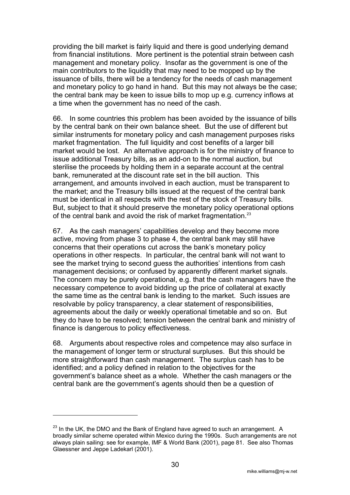providing the bill market is fairly liquid and there is good underlying demand from financial institutions. More pertinent is the potential strain between cash management and monetary policy. Insofar as the government is one of the main contributors to the liquidity that may need to be mopped up by the issuance of bills, there will be a tendency for the needs of cash management and monetary policy to go hand in hand. But this may not always be the case; the central bank may be keen to issue bills to mop up e.g. currency inflows at a time when the government has no need of the cash.

66. In some countries this problem has been avoided by the issuance of bills by the central bank on their own balance sheet. But the use of different but similar instruments for monetary policy and cash management purposes risks market fragmentation. The full liquidity and cost benefits of a larger bill market would be lost. An alternative approach is for the ministry of finance to issue additional Treasury bills, as an add-on to the normal auction, but sterilise the proceeds by holding them in a separate account at the central bank, remunerated at the discount rate set in the bill auction. This arrangement, and amounts involved in each auction, must be transparent to the market; and the Treasury bills issued at the request of the central bank must be identical in all respects with the rest of the stock of Treasury bills. But, subject to that it should preserve the monetary policy operational options of the central bank and avoid the risk of market fragmentation.<sup>23</sup>

67. As the cash managers' capabilities develop and they become more active, moving from phase 3 to phase 4, the central bank may still have concerns that their operations cut across the bank's monetary policy operations in other respects. In particular, the central bank will not want to see the market trying to second guess the authorities' intentions from cash management decisions; or confused by apparently different market signals. The concern may be purely operational, e.g. that the cash managers have the necessary competence to avoid bidding up the price of collateral at exactly the same time as the central bank is lending to the market. Such issues are resolvable by policy transparency, a clear statement of responsibilities, agreements about the daily or weekly operational timetable and so on. But they do have to be resolved; tension between the central bank and ministry of finance is dangerous to policy effectiveness.

68. Arguments about respective roles and competence may also surface in the management of longer term or structural surpluses. But this should be more straightforward than cash management. The surplus cash has to be identified; and a policy defined in relation to the objectives for the government's balance sheet as a whole. Whether the cash managers or the central bank are the government's agents should then be a question of

 $\overline{a}$ 

<span id="page-30-0"></span> $23$  In the UK, the DMO and the Bank of England have agreed to such an arrangement. A broadly similar scheme operated within Mexico during the 1990s. Such arrangements are not always plain sailing: see for example, IMF & World Bank (2001), page 81. See also Thomas Glaessner and Jeppe Ladekarl (2001).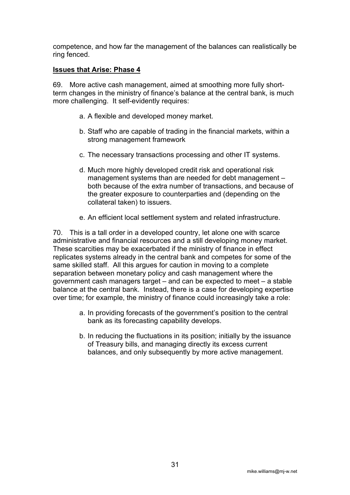<span id="page-31-0"></span>competence, and how far the management of the balances can realistically be ring fenced.

#### **Issues that Arise: Phase 4**

69. More active cash management, aimed at smoothing more fully shortterm changes in the ministry of finance's balance at the central bank, is much more challenging. It self-evidently requires:

- a. A flexible and developed money market.
- b. Staff who are capable of trading in the financial markets, within a strong management framework
- c. The necessary transactions processing and other IT systems.
- d. Much more highly developed credit risk and operational risk management systems than are needed for debt management – both because of the extra number of transactions, and because of the greater exposure to counterparties and (depending on the collateral taken) to issuers.
- e. An efficient local settlement system and related infrastructure.

70. This is a tall order in a developed country, let alone one with scarce administrative and financial resources and a still developing money market. These scarcities may be exacerbated if the ministry of finance in effect replicates systems already in the central bank and competes for some of the same skilled staff. All this argues for caution in moving to a complete separation between monetary policy and cash management where the government cash managers target – and can be expected to meet – a stable balance at the central bank. Instead, there is a case for developing expertise over time; for example, the ministry of finance could increasingly take a role:

- a. In providing forecasts of the government's position to the central bank as its forecasting capability develops.
- b. In reducing the fluctuations in its position; initially by the issuance of Treasury bills, and managing directly its excess current balances, and only subsequently by more active management.